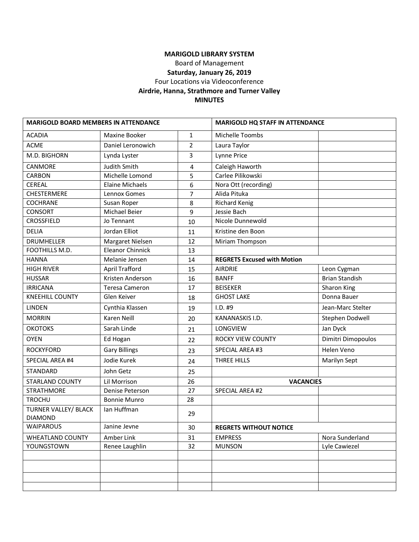## **MARIGOLD LIBRARY SYSTEM**

Board of Management

**Saturday, January 26, 2019**

Four Locations via Videoconference

## **Airdrie, Hanna, Strathmore and Turner Valley**

#### **MINUTES**

| <b>MARIGOLD BOARD MEMBERS IN ATTENDANCE</b> |                         | <b>MARIGOLD HQ STAFF IN ATTENDANCE</b> |                                    |                       |
|---------------------------------------------|-------------------------|----------------------------------------|------------------------------------|-----------------------|
| <b>ACADIA</b>                               | Maxine Booker           | $\mathbf{1}$                           | Michelle Toombs                    |                       |
| <b>ACME</b>                                 | Daniel Leronowich       | $\overline{2}$                         | Laura Taylor                       |                       |
| M.D. BIGHORN                                | Lynda Lyster            | 3                                      | Lynne Price                        |                       |
| CANMORE                                     | Judith Smith            | 4                                      | Caleigh Haworth                    |                       |
| CARBON                                      | Michelle Lomond         | 5                                      | Carlee Pilikowski                  |                       |
| <b>CEREAL</b>                               | <b>Elaine Michaels</b>  | 6                                      | Nora Ott (recording)               |                       |
| <b>CHESTERMERE</b>                          | Lennox Gomes            | $\overline{7}$                         | Alida Pituka                       |                       |
| COCHRANE                                    | Susan Roper             | 8                                      | <b>Richard Kenig</b>               |                       |
| <b>CONSORT</b>                              | Michael Beier           | 9                                      | Jessie Bach                        |                       |
| <b>CROSSFIELD</b>                           | Jo Tennant              | 10                                     | Nicole Dunnewold                   |                       |
| <b>DELIA</b>                                | Jordan Elliot           | 11                                     | Kristine den Boon                  |                       |
| <b>DRUMHELLER</b>                           | Margaret Nielsen        | 12                                     | Miriam Thompson                    |                       |
| FOOTHILLS M.D.                              | <b>Eleanor Chinnick</b> | 13                                     |                                    |                       |
| <b>HANNA</b>                                | Melanie Jensen          | 14                                     | <b>REGRETS Excused with Motion</b> |                       |
| <b>HIGH RIVER</b>                           | <b>April Trafford</b>   | 15                                     | <b>AIRDRIE</b>                     | Leon Cygman           |
| <b>HUSSAR</b>                               | Kristen Anderson        | 16                                     | <b>BANFF</b>                       | <b>Brian Standish</b> |
| <b>IRRICANA</b>                             | <b>Teresa Cameron</b>   | 17                                     | <b>BEISEKER</b>                    | Sharon King           |
| <b>KNEEHILL COUNTY</b>                      | Glen Keiver             | 18                                     | <b>GHOST LAKE</b>                  | Donna Bauer           |
| <b>LINDEN</b>                               | Cynthia Klassen         | 19                                     | I.D. #9                            | Jean-Marc Stelter     |
| <b>MORRIN</b>                               | Karen Neill             | 20                                     | KANANASKIS I.D.                    | Stephen Dodwell       |
| <b>ОКОТОКЅ</b>                              | Sarah Linde             | 21                                     | LONGVIEW                           | Jan Dyck              |
| <b>OYEN</b>                                 | Ed Hogan                | 22                                     | <b>ROCKY VIEW COUNTY</b>           | Dimitri Dimopoulos    |
| <b>ROCKYFORD</b>                            | <b>Gary Billings</b>    | 23                                     | SPECIAL AREA #3                    | Helen Veno            |
| SPECIAL AREA #4                             | Jodie Kurek             | 24                                     | THREE HILLS                        | Marilyn Sept          |
| STANDARD                                    | John Getz               | 25                                     |                                    |                       |
| <b>STARLAND COUNTY</b>                      | Lil Morrison            | 26                                     |                                    | <b>VACANCIES</b>      |
| <b>STRATHMORE</b>                           | Denise Peterson         | 27                                     | SPECIAL AREA #2                    |                       |
| <b>TROCHU</b>                               | <b>Bonnie Munro</b>     | 28                                     |                                    |                       |
| TURNER VALLEY/ BLACK                        | Ian Huffman             | 29                                     |                                    |                       |
| <b>DIAMOND</b>                              |                         |                                        |                                    |                       |
| WAIPAROUS                                   | Janine Jevne            | 30                                     | <b>REGRETS WITHOUT NOTICE</b>      |                       |
| <b>WHEATLAND COUNTY</b>                     | Amber Link              | 31                                     | <b>EMPRESS</b>                     | Nora Sunderland       |
| YOUNGSTOWN                                  | Renee Laughlin          | 32                                     | <b>MUNSON</b>                      | Lyle Cawiezel         |
|                                             |                         |                                        |                                    |                       |
|                                             |                         |                                        |                                    |                       |
|                                             |                         |                                        |                                    |                       |
|                                             |                         |                                        |                                    |                       |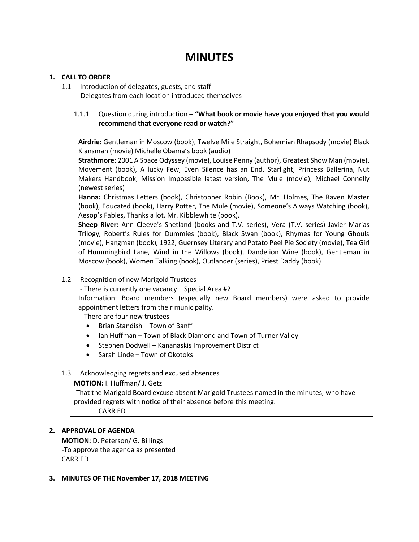# **MINUTES**

## **1. CALL TO ORDER**

1.1 Introduction of delegates, guests, and staff -Delegates from each location introduced themselves

## 1.1.1 Question during introduction – **"What book or movie have you enjoyed that you would recommend that everyone read or watch?"**

**Airdrie:** Gentleman in Moscow (book), Twelve Mile Straight, Bohemian Rhapsody (movie) Black Klansman (movie) Michelle Obama's book (audio)

**Strathmore:** 2001 A Space Odyssey (movie), Louise Penny (author), Greatest Show Man (movie), Movement (book), A lucky Few, Even Silence has an End, Starlight, Princess Ballerina, Nut Makers Handbook, Mission Impossible latest version, The Mule (movie), Michael Connelly (newest series)

**Hanna:** Christmas Letters (book), Christopher Robin (Book), Mr. Holmes, The Raven Master (book), Educated (book), Harry Potter, The Mule (movie), Someone's Always Watching (book), Aesop's Fables, Thanks a lot, Mr. Kibblewhite (book).

**Sheep River:** Ann Cleeve's Shetland (books and T.V. series), Vera (T.V. series) Javier Marias Trilogy, Robert's Rules for Dummies (book), Black Swan (book), Rhymes for Young Ghouls (movie), Hangman (book), 1922, Guernsey Literary and Potato Peel Pie Society (movie), Tea Girl of Hummingbird Lane, Wind in the Willows (book), Dandelion Wine (book), Gentleman in Moscow (book), Women Talking (book), Outlander (series), Priest Daddy (book)

1.2 Recognition of new Marigold Trustees

- There is currently one vacancy – Special Area #2

Information: Board members (especially new Board members) were asked to provide appointment letters from their municipality.

- There are four new trustees

- Brian Standish Town of Banff
- Ian Huffman Town of Black Diamond and Town of Turner Valley
- Stephen Dodwell Kananaskis Improvement District
- Sarah Linde Town of Okotoks

#### 1.3 Acknowledging regrets and excused absences

**MOTION:** I. Huffman/ J. Getz -That the Marigold Board excuse absent Marigold Trustees named in the minutes, who have provided regrets with notice of their absence before this meeting. CARRIED

#### **2. APPROVAL OF AGENDA**

**MOTION:** D. Peterson/ G. Billings -To approve the agenda as presented CARRIED

**3. MINUTES OF THE November 17, 2018 MEETING**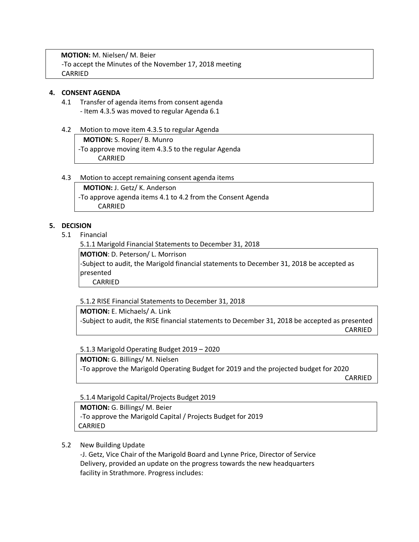**MOTION:** M. Nielsen/ M. Beier -To accept the Minutes of the November 17, 2018 meeting CARRIED

#### **4. CONSENT AGENDA**

- 4.1 Transfer of agenda items from consent agenda - Item 4.3.5 was moved to regular Agenda 6.1
- 4.2 Motion to move item 4.3.5 to regular Agenda

**MOTION:** S. Roper/ B. Munro -To approve moving item 4.3.5 to the regular Agenda CARRIED

#### 4.3 Motion to accept remaining consent agenda items

**MOTION:** J. Getz/ K. Anderson -To approve agenda items 4.1 to 4.2 from the Consent Agenda CARRIED

## **5. DECISION**

5.1 Financial

5.1.1 Marigold Financial Statements to December 31, 2018

**MOTION**: D. Peterson/ L. Morrison

-Subject to audit, the Marigold financial statements to December 31, 2018 be accepted as presented CARRIED

5.1.2 RISE Financial Statements to December 31, 2018

**MOTION:** E. Michaels/ A. Link -Subject to audit, the RISE financial statements to December 31, 2018 be accepted as presented CARRIED

5.1.3 Marigold Operating Budget 2019 – 2020

**MOTION:** G. Billings/ M. Nielsen -To approve the Marigold Operating Budget for 2019 and the projected budget for 2020

CARRIED

5.1.4 Marigold Capital/Projects Budget 2019

**MOTION:** G. Billings/ M. Beier -To approve the Marigold Capital / Projects Budget for 2019 CARRIED

#### 5.2 New Building Update

-J. Getz, Vice Chair of the Marigold Board and Lynne Price, Director of Service Delivery, provided an update on the progress towards the new headquarters facility in Strathmore. Progress includes: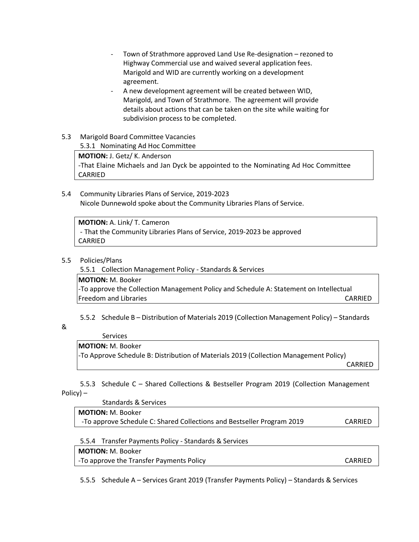- Town of Strathmore approved Land Use Re-designation rezoned to Highway Commercial use and waived several application fees. Marigold and WID are currently working on a development agreement.
- A new development agreement will be created between WID, Marigold, and Town of Strathmore. The agreement will provide details about actions that can be taken on the site while waiting for subdivision process to be completed.
- 5.3 Marigold Board Committee Vacancies 5.3.1 Nominating Ad Hoc Committee

**MOTION:** J. Getz/ K. Anderson -That Elaine Michaels and Jan Dyck be appointed to the Nominating Ad Hoc Committee CARRIED

5.4 Community Libraries Plans of Service, 2019-2023 Nicole Dunnewold spoke about the Community Libraries Plans of Service.

**MOTION:** A. Link/ T. Cameron - That the Community Libraries Plans of Service, 2019-2023 be approved CARRIED

5.5 Policies/Plans

5.5.1 Collection Management Policy - Standards & Services

**MOTION:** M. Booker -To approve the Collection Management Policy and Schedule A: Statement on Intellectual Freedom and Libraries **CARRIED CARRIED** 

5.5.2 Schedule B – Distribution of Materials 2019 (Collection Management Policy) – Standards

&

#### Services **MOTION:** M. Booker

-To Approve Schedule B: Distribution of Materials 2019 (Collection Management Policy)

CARRIED

5.5.3 Schedule C – Shared Collections & Bestseller Program 2019 (Collection Management Policy) –

 Standards & Services **MOTION:** M. Booker -To approve Schedule C: Shared Collections and Bestseller Program 2019 CARRIED

5.5.4 Transfer Payments Policy - Standards & Services

**MOTION:** M. Booker

-To approve the Transfer Payments Policy CARRIED

5.5.5 Schedule A – Services Grant 2019 (Transfer Payments Policy) – Standards & Services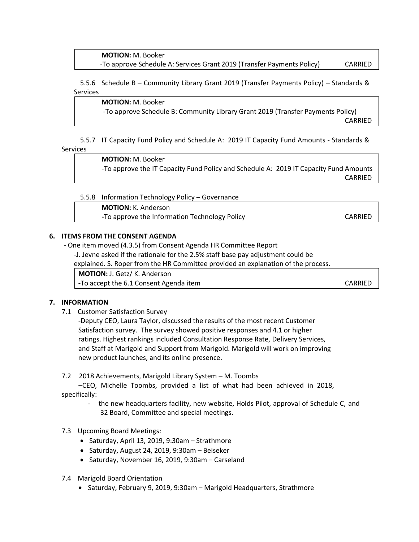**MOTION:** M. Booker -To approve Schedule A: Services Grant 2019 (Transfer Payments Policy) CARRIED

5.5.6 Schedule B – Community Library Grant 2019 (Transfer Payments Policy) – Standards & **Services** 

**MOTION:** M. Booker -To approve Schedule B: Community Library Grant 2019 (Transfer Payments Policy) CARRIED

5.5.7 IT Capacity Fund Policy and Schedule A: 2019 IT Capacity Fund Amounts - Standards & Services

> **MOTION:** M. Booker -To approve the IT Capacity Fund Policy and Schedule A: 2019 IT Capacity Fund Amounts CARRIED

5.5.8 Information Technology Policy – Governance

**MOTION:** K. Anderson

**-To approve the Information Technology Policy CARRIED** 

#### **6. ITEMS FROM THE CONSENT AGENDA**

- One item moved (4.3.5) from Consent Agenda HR Committee Report

-J. Jevne asked if the rationale for the 2.5% staff base pay adjustment could be

explained. S. Roper from the HR Committee provided an explanation of the process.

**MOTION:** J. Getz/ K. Anderson

**-To accept the 6.1 Consent Agenda item CARRIED** 

**7. INFORMATION**

7.1 Customer Satisfaction Survey

-Deputy CEO, Laura Taylor, discussed the results of the most recent Customer Satisfaction survey. The survey showed positive responses and 4.1 or higher ratings. Highest rankings included Consultation Response Rate, Delivery Services, and Staff at Marigold and Support from Marigold. Marigold will work on improving new product launches, and its online presence.

7.2 2018 Achievements, Marigold Library System – M. Toombs

 –CEO, Michelle Toombs, provided a list of what had been achieved in 2018, specifically:

- the new headquarters facility, new website, Holds Pilot, approval of Schedule C, and 32 Board, Committee and special meetings.
- 7.3 Upcoming Board Meetings:
	- Saturday, April 13, 2019, 9:30am Strathmore
	- Saturday, August 24, 2019, 9:30am Beiseker
	- Saturday, November 16, 2019, 9:30am Carseland
- 7.4 Marigold Board Orientation
	- Saturday, February 9, 2019, 9:30am Marigold Headquarters, Strathmore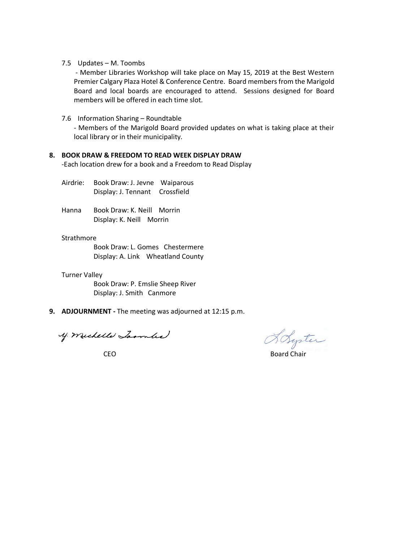#### 7.5 Updates – M. Toombs

- Member Libraries Workshop will take place on May 15, 2019 at the Best Western Premier Calgary Plaza Hotel & Conference Centre. Board members from the Marigold Board and local boards are encouraged to attend. Sessions designed for Board members will be offered in each time slot.

#### 7.6 Information Sharing – Roundtable

- Members of the Marigold Board provided updates on what is taking place at their local library or in their municipality.

#### **8. BOOK DRAW & FREEDOM TO READ WEEK DISPLAY DRAW**

-Each location drew for a book and a Freedom to Read Display

Airdrie: Book Draw: J. Jevne Waiparous Display: J. Tennant Crossfield

Hanna Book Draw: K. Neill Morrin Display: K. Neill Morrin

#### **Strathmore**

Book Draw: L. Gomes Chestermere Display: A. Link Wheatland County

#### Turner Valley

Book Draw: P. Emslie Sheep River Display: J. Smith Canmore

**9. ADJOURNMENT -** The meeting was adjourned at 12:15 p.m.

y michelle Larmler

Loyter

CEO Board Chair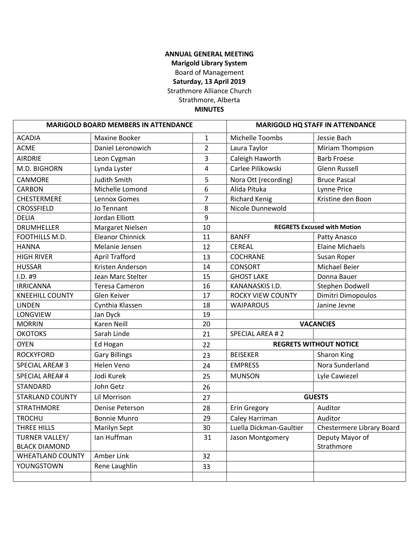## **ANNUAL GENERAL MEETING Marigold Library System** Board of Management **Saturday, 13 April 2019** Strathmore Alliance Church Strathmore, Alberta

## **MINUTES**

| <b>MARIGOLD BOARD MEMBERS IN ATTENDANCE</b> |                         | <b>MARIGOLD HQ STAFF IN ATTENDANCE</b> |                          |                                    |
|---------------------------------------------|-------------------------|----------------------------------------|--------------------------|------------------------------------|
| <b>ACADIA</b>                               | Maxine Booker           | $\mathbf{1}$                           | Michelle Toombs          | Jessie Bach                        |
| <b>ACME</b>                                 | Daniel Leronowich       | $\overline{2}$                         | Laura Taylor             | Miriam Thompson                    |
| <b>AIRDRIE</b>                              | Leon Cygman             | 3                                      | Caleigh Haworth          | <b>Barb Froese</b>                 |
| M.D. BIGHORN                                | Lynda Lyster            | 4                                      | Carlee Pilikowski        | <b>Glenn Russell</b>               |
| CANMORE                                     | <b>Judith Smith</b>     | 5                                      | Nora Ott (recording)     | <b>Bruce Pascal</b>                |
| <b>CARBON</b>                               | Michelle Lomond         | 6                                      | Alida Pituka             | Lynne Price                        |
| CHESTERMERE                                 | Lennox Gomes            | $\overline{7}$                         | <b>Richard Kenig</b>     | Kristine den Boon                  |
| <b>CROSSFIELD</b>                           | Jo Tennant              | 8                                      | Nicole Dunnewold         |                                    |
| <b>DELIA</b>                                | Jordan Elliott          | 9                                      |                          |                                    |
| <b>DRUMHELLER</b>                           | Margaret Nielsen        | 10                                     |                          | <b>REGRETS Excused with Motion</b> |
| FOOTHILLS M.D.                              | <b>Eleanor Chinnick</b> | 11                                     | <b>BANFF</b>             | Patty Anasco                       |
| <b>HANNA</b>                                | Melanie Jensen          | 12                                     | <b>CEREAL</b>            | <b>Elaine Michaels</b>             |
| <b>HIGH RIVER</b>                           | <b>April Trafford</b>   | 13                                     | <b>COCHRANE</b>          | Susan Roper                        |
| <b>HUSSAR</b>                               | Kristen Anderson        | 14                                     | <b>CONSORT</b>           | Michael Beier                      |
| I.D. #9                                     | Jean Marc Stelter       | 15                                     | <b>GHOST LAKE</b>        | Donna Bauer                        |
| <b>IRRICANNA</b>                            | <b>Teresa Cameron</b>   | 16                                     | KANANASKIS I.D.          | Stephen Dodwell                    |
| <b>KNEEHILL COUNTY</b>                      | Glen Keiver             | 17                                     | <b>ROCKY VIEW COUNTY</b> | Dimitri Dimopoulos                 |
| <b>LINDEN</b>                               | Cynthia Klassen         | 18                                     | <b>WAIPAROUS</b>         | Janine Jevne                       |
| LONGVIEW                                    | Jan Dyck                | 19                                     |                          |                                    |
| <b>MORRIN</b>                               | <b>Karen Neill</b>      | 20                                     |                          | <b>VACANCIES</b>                   |
| <b>OKOTOKS</b>                              | Sarah Linde             | 21                                     | <b>SPECIAL AREA #2</b>   |                                    |
| <b>OYEN</b>                                 | Ed Hogan                | 22                                     |                          | <b>REGRETS WITHOUT NOTICE</b>      |
| <b>ROCKYFORD</b>                            | <b>Gary Billings</b>    | 23                                     | <b>BEISEKER</b>          | Sharon King                        |
| <b>SPECIAL AREA#3</b>                       | Helen Veno              | 24                                     | <b>EMPRESS</b>           | Nora Sunderland                    |
| <b>SPECIAL AREA#4</b>                       | Jodi Kurek              | 25                                     | <b>MUNSON</b>            | Lyle Cawiezel                      |
| <b>STANDARD</b>                             | John Getz               | 26                                     |                          |                                    |
| <b>STARLAND COUNTY</b>                      | Lil Morrison            | 27                                     |                          | <b>GUESTS</b>                      |
| <b>STRATHMORE</b>                           | Denise Peterson         | 28                                     | Erin Gregory             | Auditor                            |
| <b>TROCHU</b>                               | <b>Bonnie Munro</b>     | 29                                     | Caley Harriman           | Auditor                            |
| THREE HILLS                                 | <b>Marilyn Sept</b>     | 30                                     | Luella Dickman-Gaultier  | Chestermere Library Board          |
| TURNER VALLEY/                              | Ian Huffman             | 31                                     | Jason Montgomery         | Deputy Mayor of                    |
| <b>BLACK DIAMOND</b>                        |                         |                                        |                          | Strathmore                         |
| <b>WHEATLAND COUNTY</b>                     | Amber Link              | 32                                     |                          |                                    |
| YOUNGSTOWN                                  | Rene Laughlin           | 33                                     |                          |                                    |
|                                             |                         |                                        |                          |                                    |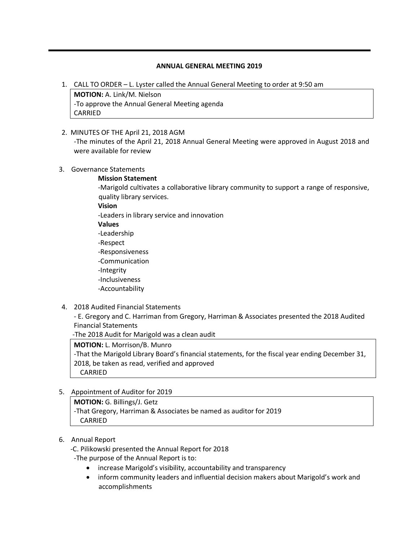#### **ANNUAL GENERAL MEETING 2019**

1. CALL TO ORDER – L. Lyster called the Annual General Meeting to order at 9:50 am

**MOTION:** A. Link/M. Nielson -To approve the Annual General Meeting agenda CARRIED

2. MINUTES OF THE April 21, 2018 AGM

-The minutes of the April 21, 2018 Annual General Meeting were approved in August 2018 and were available for review

- 3. Governance Statements
	- **Mission Statement**

-Marigold cultivates a collaborative library community to support a range of responsive, quality library services.

**Vision**

-Leaders in library service and innovation

- **Values**
- -Leadership
- -Respect
- -Responsiveness
- -Communication
- -Integrity
- -Inclusiveness
- -Accountability
- 4. 2018 Audited Financial Statements

- E. Gregory and C. Harriman from Gregory, Harriman & Associates presented the 2018 Audited Financial Statements

-The 2018 Audit for Marigold was a clean audit

#### **MOTION:** L. Morrison/B. Munro

-That the Marigold Library Board's financial statements, for the fiscal year ending December 31, 2018, be taken as read, verified and approved CARRIED

5. Appointment of Auditor for 2019

**MOTION:** G. Billings/J. Getz -That Gregory, Harriman & Associates be named as auditor for 2019 CARRIED

- 6. Annual Report
	- -C. Pilikowski presented the Annual Report for 2018
	- -The purpose of the Annual Report is to:
		- increase Marigold's visibility, accountability and transparency
		- inform community leaders and influential decision makers about Marigold's work and accomplishments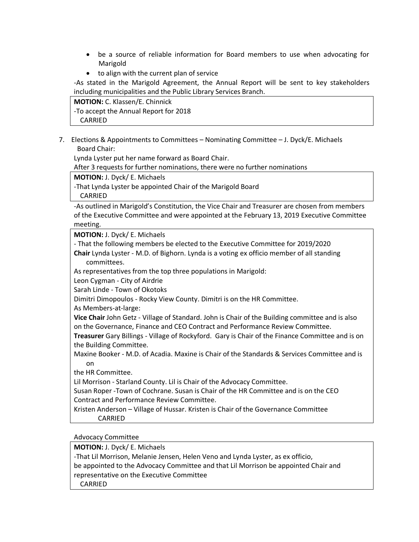- be a source of reliable information for Board members to use when advocating for Marigold
- to align with the current plan of service

-As stated in the Marigold Agreement, the Annual Report will be sent to key stakeholders including municipalities and the Public Library Services Branch.

**MOTION:** C. Klassen/E. Chinnick -To accept the Annual Report for 2018 CARRIED

7. Elections & Appointments to Committees – Nominating Committee – J. Dyck/E. Michaels Board Chair:

Lynda Lyster put her name forward as Board Chair.

After 3 requests for further nominations, there were no further nominations

**MOTION:** J. Dyck/ E. Michaels

-That Lynda Lyster be appointed Chair of the Marigold Board

CARRIED

-As outlined in Marigold's Constitution, the Vice Chair and Treasurer are chosen from members of the Executive Committee and were appointed at the February 13, 2019 Executive Committee meeting.

**MOTION:** J. Dyck/ E. Michaels

- That the following members be elected to the Executive Committee for 2019/2020

**Chair** Lynda Lyster - M.D. of Bighorn. Lynda is a voting ex officio member of all standing committees.

As representatives from the top three populations in Marigold:

Leon Cygman - City of Airdrie

Sarah Linde - Town of Okotoks

Dimitri Dimopoulos - Rocky View County. Dimitri is on the HR Committee.

As Members-at-large:

**Vice Chair** John Getz - Village of Standard. John is Chair of the Building committee and is also on the Governance, Finance and CEO Contract and Performance Review Committee.

**Treasurer** Gary Billings - Village of Rockyford. Gary is Chair of the Finance Committee and is on the Building Committee.

Maxine Booker - M.D. of Acadia. Maxine is Chair of the Standards & Services Committee and is on

the HR Committee.

Lil Morrison - Starland County. Lil is Chair of the Advocacy Committee.

Susan Roper -Town of Cochrane. Susan is Chair of the HR Committee and is on the CEO Contract and Performance Review Committee.

Kristen Anderson – Village of Hussar. Kristen is Chair of the Governance Committee CARRIED

Advocacy Committee

**MOTION:** J. Dyck/ E. Michaels

-That Lil Morrison, Melanie Jensen, Helen Veno and Lynda Lyster, as ex officio,

be appointed to the Advocacy Committee and that Lil Morrison be appointed Chair and representative on the Executive Committee

CARRIED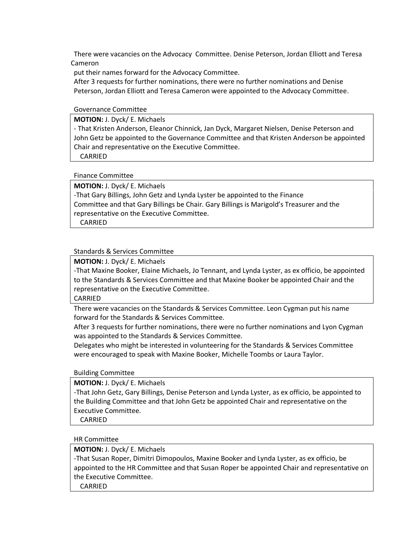There were vacancies on the Advocacy Committee. Denise Peterson, Jordan Elliott and Teresa Cameron

put their names forward for the Advocacy Committee.

After 3 requests for further nominations, there were no further nominations and Denise Peterson, Jordan Elliott and Teresa Cameron were appointed to the Advocacy Committee.

#### Governance Committee

**MOTION:** J. Dyck/ E. Michaels

- That Kristen Anderson, Eleanor Chinnick, Jan Dyck, Margaret Nielsen, Denise Peterson and John Getz be appointed to the Governance Committee and that Kristen Anderson be appointed Chair and representative on the Executive Committee.

CARRIED

#### Finance Committee

**MOTION:** J. Dyck/ E. Michaels -That Gary Billings, John Getz and Lynda Lyster be appointed to the Finance Committee and that Gary Billings be Chair. Gary Billings is Marigold's Treasurer and the representative on the Executive Committee.

CARRIED

#### Standards & Services Committee

**MOTION:** J. Dyck/ E. Michaels

-That Maxine Booker, Elaine Michaels, Jo Tennant, and Lynda Lyster, as ex officio, be appointed to the Standards & Services Committee and that Maxine Booker be appointed Chair and the representative on the Executive Committee.

CARRIED

There were vacancies on the Standards & Services Committee. Leon Cygman put his name forward for the Standards & Services Committee.

After 3 requests for further nominations, there were no further nominations and Lyon Cygman was appointed to the Standards & Services Committee.

Delegates who might be interested in volunteering for the Standards & Services Committee were encouraged to speak with Maxine Booker, Michelle Toombs or Laura Taylor.

Building Committee

**MOTION:** J. Dyck/ E. Michaels

-That John Getz, Gary Billings, Denise Peterson and Lynda Lyster, as ex officio, be appointed to the Building Committee and that John Getz be appointed Chair and representative on the Executive Committee.

CARRIED

HR Committee

**MOTION:** J. Dyck/ E. Michaels

-That Susan Roper, Dimitri Dimopoulos, Maxine Booker and Lynda Lyster, as ex officio, be appointed to the HR Committee and that Susan Roper be appointed Chair and representative on the Executive Committee.

CARRIED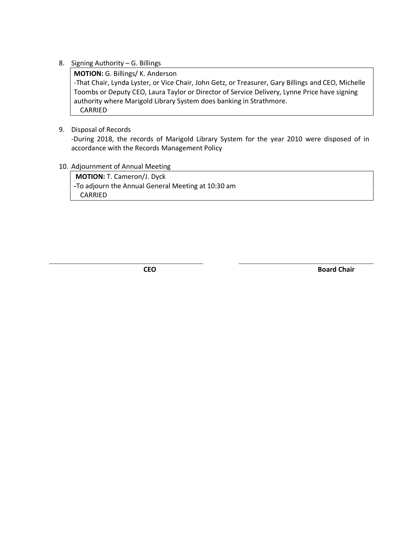8. Signing Authority – G. Billings

**MOTION:** G. Billings/ K. Anderson -That Chair, Lynda Lyster, or Vice Chair, John Getz, or Treasurer, Gary Billings and CEO, Michelle Toombs or Deputy CEO, Laura Taylor or Director of Service Delivery, Lynne Price have signing authority where Marigold Library System does banking in Strathmore. CARRIED

9. Disposal of Records

-During 2018, the records of Marigold Library System for the year 2010 were disposed of in accordance with the Records Management Policy

**\_\_\_\_\_\_\_\_\_\_\_\_\_\_\_\_\_\_\_\_\_\_\_\_\_\_\_\_\_\_\_\_\_\_\_\_\_\_\_\_\_ \_\_\_\_\_\_\_\_\_\_\_\_\_\_\_\_\_\_\_\_\_\_\_\_\_\_\_\_\_\_\_\_\_\_\_\_**

10. Adjournment of Annual Meeting

**MOTION:** T. Cameron/J. Dyck **-**To adjourn the Annual General Meeting at 10:30 am CARRIED

**CEO** Board Chair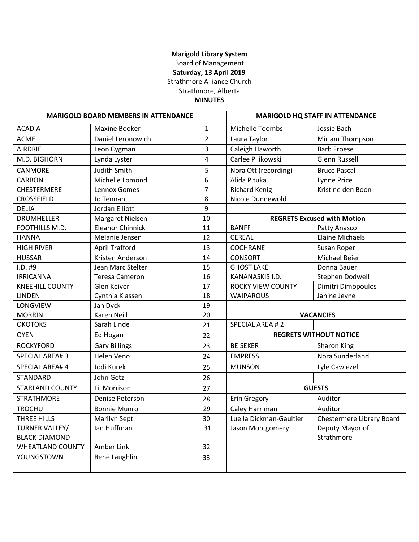## **Marigold Library System** Board of Management **Saturday, 13 April 2019** Strathmore Alliance Church Strathmore, Alberta **MINUTES**

| <b>MARIGOLD BOARD MEMBERS IN ATTENDANCE</b> |                         | <b>MARIGOLD HQ STAFF IN ATTENDANCE</b> |                          |                                    |
|---------------------------------------------|-------------------------|----------------------------------------|--------------------------|------------------------------------|
| <b>ACADIA</b>                               | Maxine Booker           | $\mathbf{1}$                           | Michelle Toombs          | Jessie Bach                        |
| <b>ACME</b>                                 | Daniel Leronowich       | $\overline{2}$                         | Laura Taylor             | Miriam Thompson                    |
| <b>AIRDRIE</b>                              | Leon Cygman             | 3                                      | Caleigh Haworth          | <b>Barb Froese</b>                 |
| M.D. BIGHORN                                | Lynda Lyster            | 4                                      | Carlee Pilikowski        | <b>Glenn Russell</b>               |
| CANMORE                                     | <b>Judith Smith</b>     | 5                                      | Nora Ott (recording)     | <b>Bruce Pascal</b>                |
| <b>CARBON</b>                               | Michelle Lomond         | 6                                      | Alida Pituka             | Lynne Price                        |
| <b>CHESTERMERE</b>                          | Lennox Gomes            | $\overline{7}$                         | <b>Richard Kenig</b>     | Kristine den Boon                  |
| <b>CROSSFIELD</b>                           | Jo Tennant              | 8                                      | Nicole Dunnewold         |                                    |
| <b>DELIA</b>                                | Jordan Elliott          | 9                                      |                          |                                    |
| <b>DRUMHELLER</b>                           | Margaret Nielsen        | 10                                     |                          | <b>REGRETS Excused with Motion</b> |
| FOOTHILLS M.D.                              | <b>Eleanor Chinnick</b> | 11                                     | <b>BANFF</b>             | Patty Anasco                       |
| <b>HANNA</b>                                | Melanie Jensen          | 12                                     | <b>CEREAL</b>            | <b>Elaine Michaels</b>             |
| <b>HIGH RIVER</b>                           | <b>April Trafford</b>   | 13                                     | <b>COCHRANE</b>          | Susan Roper                        |
| <b>HUSSAR</b>                               | Kristen Anderson        | 14                                     | <b>CONSORT</b>           | Michael Beier                      |
| I.D. #9                                     | Jean Marc Stelter       | 15                                     | <b>GHOST LAKE</b>        | Donna Bauer                        |
| <b>IRRICANNA</b>                            | <b>Teresa Cameron</b>   | 16                                     | KANANASKIS I.D.          | Stephen Dodwell                    |
| <b>KNEEHILL COUNTY</b>                      | Glen Keiver             | 17                                     | <b>ROCKY VIEW COUNTY</b> | Dimitri Dimopoulos                 |
| <b>LINDEN</b>                               | Cynthia Klassen         | 18                                     | <b>WAIPAROUS</b>         | Janine Jevne                       |
| LONGVIEW                                    | Jan Dyck                | 19                                     |                          |                                    |
| <b>MORRIN</b>                               | <b>Karen Neill</b>      | 20                                     |                          | <b>VACANCIES</b>                   |
| <b>OKOTOKS</b>                              | Sarah Linde             | 21                                     | SPECIAL AREA #2          |                                    |
| <b>OYEN</b>                                 | Ed Hogan                | 22                                     |                          | <b>REGRETS WITHOUT NOTICE</b>      |
| <b>ROCKYFORD</b>                            | <b>Gary Billings</b>    | 23                                     | <b>BEISEKER</b>          | <b>Sharon King</b>                 |
| <b>SPECIAL AREA#3</b>                       | Helen Veno              | 24                                     | <b>EMPRESS</b>           | Nora Sunderland                    |
| <b>SPECIAL AREA#4</b>                       | Jodi Kurek              | 25                                     | <b>MUNSON</b>            | Lyle Cawiezel                      |
| <b>STANDARD</b>                             | John Getz               | 26                                     |                          |                                    |
| <b>STARLAND COUNTY</b>                      | Lil Morrison            | 27                                     |                          | <b>GUESTS</b>                      |
| <b>STRATHMORE</b>                           | Denise Peterson         | 28                                     | Erin Gregory             | Auditor                            |
| <b>TROCHU</b>                               | <b>Bonnie Munro</b>     | 29                                     | Caley Harriman           | Auditor                            |
| THREE HILLS                                 | Marilyn Sept            | 30                                     | Luella Dickman-Gaultier  | Chestermere Library Board          |
| TURNER VALLEY/                              | Ian Huffman             | 31                                     | Jason Montgomery         | Deputy Mayor of                    |
| <b>BLACK DIAMOND</b>                        |                         |                                        |                          | Strathmore                         |
| <b>WHEATLAND COUNTY</b>                     | Amber Link              | 32                                     |                          |                                    |
| YOUNGSTOWN                                  | Rene Laughlin           | 33                                     |                          |                                    |
|                                             |                         |                                        |                          |                                    |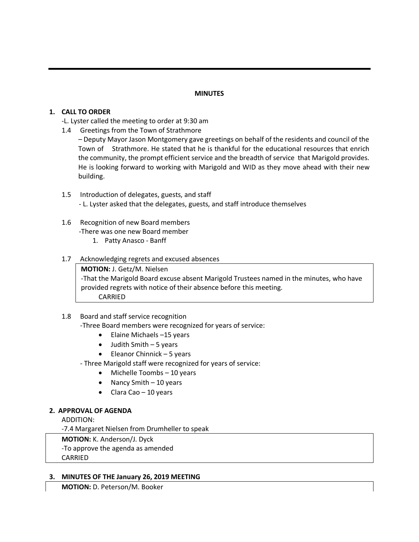## **MINUTES**

## **1. CALL TO ORDER**

- -L. Lyster called the meeting to order at 9:30 am
- 1.4 Greetings from the Town of Strathmore

– Deputy Mayor Jason Montgomery gave greetings on behalf of the residents and council of the Town of Strathmore. He stated that he is thankful for the educational resources that enrich the community, the prompt efficient service and the breadth of service that Marigold provides. He is looking forward to working with Marigold and WID as they move ahead with their new building.

1.5 Introduction of delegates, guests, and staff - L. Lyster asked that the delegates, guests, and staff introduce themselves

# 1.6 Recognition of new Board members

-There was one new Board member

1. Patty Anasco - Banff

## 1.7 Acknowledging regrets and excused absences

**MOTION:** J. Getz/M. Nielsen -That the Marigold Board excuse absent Marigold Trustees named in the minutes, who have provided regrets with notice of their absence before this meeting. CARRIED

## 1.8 Board and staff service recognition

- -Three Board members were recognized for years of service:
	- Elaine Michaels –15 years
	- $\bullet$  Judith Smith  $-5$  years
	- Eleanor Chinnick 5 years

- Three Marigold staff were recognized for years of service:

- Michelle Toombs 10 years
- Nancy Smith 10 years
- Clara Cao 10 years

## **2. APPROVAL OF AGENDA**

ADDITION:

-7.4 Margaret Nielsen from Drumheller to speak

**MOTION:** K. Anderson/J. Dyck

-To approve the agenda as amended

**CARRIED** 

#### **3. MINUTES OF THE January 26, 2019 MEETING**

**MOTION:** D. Peterson/M. Booker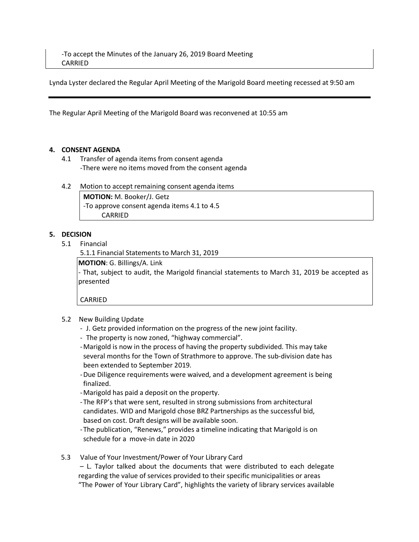Lynda Lyster declared the Regular April Meeting of the Marigold Board meeting recessed at 9:50 am

The Regular April Meeting of the Marigold Board was reconvened at 10:55 am

#### **4. CONSENT AGENDA**

- 4.1 Transfer of agenda items from consent agenda -There were no items moved from the consent agenda
- 4.2 Motion to accept remaining consent agenda items

**MOTION:** M. Booker/J. Getz -To approve consent agenda items 4.1 to 4.5 CARRIED

## **5. DECISION**

5.1 Financial

5.1.1 Financial Statements to March 31, 2019

**MOTION**: G. Billings/A. Link

- That, subject to audit, the Marigold financial statements to March 31, 2019 be accepted as presented

CARRIED

- 5.2 New Building Update
	- J. Getz provided information on the progress of the new joint facility.
	- The property is now zoned, "highway commercial".
	- -Marigold is now in the process of having the property subdivided. This may take several months for the Town of Strathmore to approve. The sub-division date has been extended to September 2019.
	- -Due Diligence requirements were waived, and a development agreement is being finalized.
	- -Marigold has paid a deposit on the property.
	- -The RFP's that were sent, resulted in strong submissions from architectural candidates. WID and Marigold chose BRZ Partnerships as the successful bid, based on cost. Draft designs will be available soon.
	- -The publication, "Renews," provides a timeline indicating that Marigold is on schedule for a move-in date in 2020
- 5.3 Value of Your Investment/Power of Your Library Card

– L. Taylor talked about the documents that were distributed to each delegate regarding the value of services provided to their specific municipalities or areas "The Power of Your Library Card", highlights the variety of library services available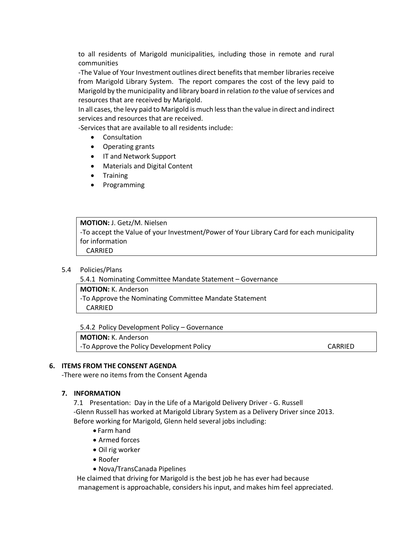to all residents of Marigold municipalities, including those in remote and rural communities

-The Value of Your Investment outlines direct benefits that member libraries receive from Marigold Library System. The report compares the cost of the levy paid to Marigold by the municipality and library board in relation *to* the value of services and resources that are received by Marigold.

In all cases, the levy paid to Marigold is much less than the value in direct and indirect services and resources that are received.

-Services that are available to all residents include:

- Consultation
- Operating grants
- IT and Network Support
- Materials and Digital Content
- Training
- Programming

**MOTION:** J. Getz/M. Nielsen -To accept the Value of your Investment/Power of Your Library Card for each municipality for information CARRIED

#### 5.4 Policies/Plans

5.4.1 Nominating Committee Mandate Statement – Governance

**MOTION:** K. Anderson

-To Approve the Nominating Committee Mandate Statement CARRIED

5.4.2 Policy Development Policy – Governance

**MOTION:** K. Anderson

-To Approve the Policy Development Policy CARRIED

#### **6. ITEMS FROM THE CONSENT AGENDA**

-There were no items from the Consent Agenda

#### **7. INFORMATION**

7.1 Presentation: Day in the Life of a Marigold Delivery Driver - G. Russell -Glenn Russell has worked at Marigold Library System as a Delivery Driver since 2013. Before working for Marigold, Glenn held several jobs including:

- Farm hand
- Armed forces
- Oil rig worker
- Roofer
- Nova/TransCanada Pipelines

 He claimed that driving for Marigold is the best job he has ever had because management is approachable, considers his input, and makes him feel appreciated.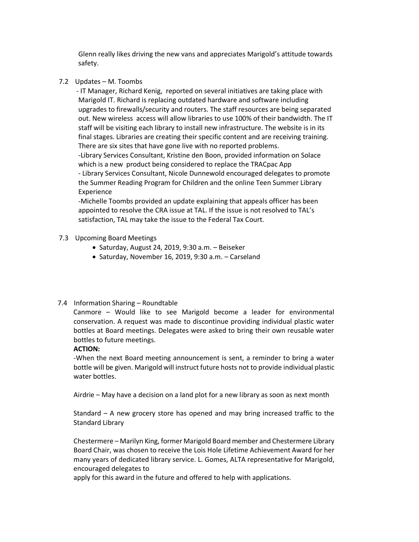Glenn really likes driving the new vans and appreciates Marigold's attitude towards safety.

7.2 Updates – M. Toombs

 - IT Manager, Richard Kenig, reported on several initiatives are taking place with Marigold IT. Richard is replacing outdated hardware and software including upgrades to firewalls/security and routers. The staff resources are being separated out. New wireless access will allow libraries to use 100% of their bandwidth. The IT staff will be visiting each library to install new infrastructure. The website is in its final stages. Libraries are creating their specific content and are receiving training. There are six sites that have gone live with no reported problems. -Library Services Consultant, Kristine den Boon, provided information on Solace which is a new product being considered to replace the TRACpac App - Library Services Consultant, Nicole Dunnewold encouraged delegates to promote the Summer Reading Program for Children and the online Teen Summer Library Experience

-Michelle Toombs provided an update explaining that appeals officer has been appointed to resolve the CRA issue at TAL. If the issue is not resolved to TAL's satisfaction, TAL may take the issue to the Federal Tax Court.

## 7.3 Upcoming Board Meetings

- Saturday, August 24, 2019, 9:30 a.m. Beiseker
- Saturday, November 16, 2019, 9:30 a.m. Carseland

## 7.4 Information Sharing – Roundtable

 Canmore – Would like to see Marigold become a leader for environmental conservation. A request was made to discontinue providing individual plastic water bottles at Board meetings. Delegates were asked to bring their own reusable water bottles to future meetings.

#### **ACTION:**

-When the next Board meeting announcement is sent, a reminder to bring a water bottle will be given. Marigold will instruct future hosts not to provide individual plastic water bottles.

Airdrie – May have a decision on a land plot for a new library as soon as next month

Standard – A new grocery store has opened and may bring increased traffic to the Standard Library

Chestermere – Marilyn King, former Marigold Board member and Chestermere Library Board Chair, was chosen to receive the Lois Hole Lifetime Achievement Award for her many years of dedicated library service. L. Gomes, ALTA representative for Marigold, encouraged delegates to

apply for this award in the future and offered to help with applications.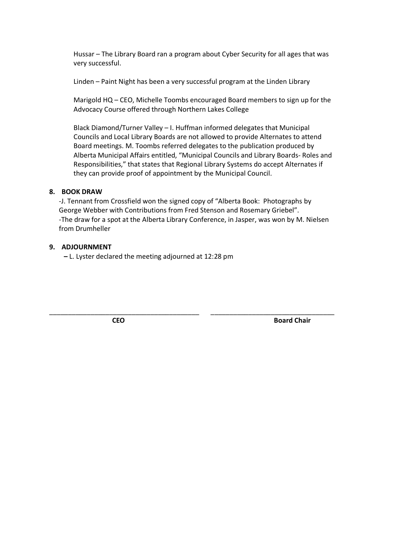Hussar – The Library Board ran a program about Cyber Security for all ages that was very successful.

Linden – Paint Night has been a very successful program at the Linden Library

Marigold HQ – CEO, Michelle Toombs encouraged Board members to sign up for the Advocacy Course offered through Northern Lakes College

Black Diamond/Turner Valley – I. Huffman informed delegates that Municipal Councils and Local Library Boards are not allowed to provide Alternates to attend Board meetings. M. Toombs referred delegates to the publication produced by Alberta Municipal Affairs entitled, "Municipal Councils and Library Boards- Roles and Responsibilities," that states that Regional Library Systems do accept Alternates if they can provide proof of appointment by the Municipal Council.

## **8. BOOK DRAW**

-J. Tennant from Crossfield won the signed copy of "Alberta Book: Photographs by George Webber with Contributions from Fred Stenson and Rosemary Griebel". -The draw for a spot at the Alberta Library Conference, in Jasper, was won by M. Nielsen from Drumheller

\_\_\_\_\_\_\_\_\_\_\_\_\_\_\_\_\_\_\_\_\_\_\_\_\_\_\_\_\_\_\_\_\_\_\_\_\_\_\_\_ \_\_\_\_\_\_\_\_\_\_\_\_\_\_\_\_\_\_\_\_\_\_\_\_\_\_\_\_\_\_\_\_\_

## **9. ADJOURNMENT**

**–** L. Lyster declared the meeting adjourned at 12:28 pm

**CEO** Board Chair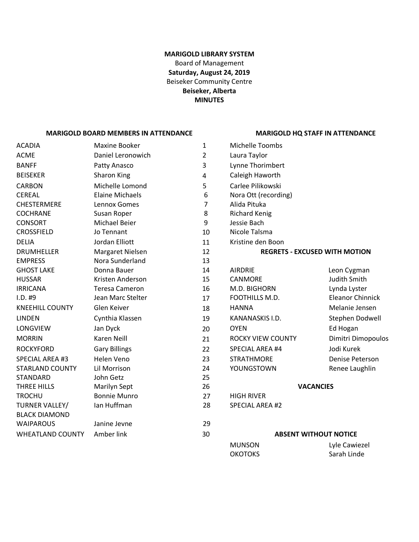## **MARIGOLD LIBRARY SYSTEM** Board of Management **Saturday, August 24, 2019** Beiseker Community Centre **Beiseker, Alberta MINUTES**

#### **MARIGOLD BOARD MEMBERS IN ATTENDANCE MARIGOLD HQ STAFF IN ATTENDANCE**

| ACADIA                                 | <b>Maxine Booker</b>   | $\mathbf{1}$   | Michelle Toombs          |                                      |
|----------------------------------------|------------------------|----------------|--------------------------|--------------------------------------|
| <b>ACME</b>                            | Daniel Leronowich      | $\overline{2}$ | Laura Taylor             |                                      |
| <b>BANFF</b>                           | Patty Anasco           | 3              | Lynne Thorimbert         |                                      |
| <b>BEISEKER</b>                        | Sharon King            | 4              | Caleigh Haworth          |                                      |
| CARBON                                 | Michelle Lomond        | 5              | Carlee Pilikowski        |                                      |
| CEREAL                                 | <b>Elaine Michaels</b> | 6              | Nora Ott (recording)     |                                      |
| <b>CHESTERMERE</b>                     | Lennox Gomes           | $\overline{7}$ | Alida Pituka             |                                      |
| <b>COCHRANE</b>                        | Susan Roper            | 8              | <b>Richard Kenig</b>     |                                      |
| <b>CONSORT</b>                         | <b>Michael Beier</b>   | 9              | Jessie Bach              |                                      |
| CROSSFIELD                             | Jo Tennant             | 10             | Nicole Talsma            |                                      |
| <b>DELIA</b>                           | Jordan Elliott         | 11             | Kristine den Boon        |                                      |
| <b>DRUMHELLER</b>                      | Margaret Nielsen       | 12             |                          | <b>REGRETS - EXCUSED WITH MOTION</b> |
| <b>EMPRESS</b>                         | Nora Sunderland        | 13             |                          |                                      |
| <b>GHOST LAKE</b>                      | Donna Bauer            | 14             | <b>AIRDRIE</b>           | Leon Cygman                          |
| <b>HUSSAR</b>                          | Kristen Anderson       | 15             | CANMORE                  | <b>Judith Smith</b>                  |
| <b>IRRICANA</b>                        | <b>Teresa Cameron</b>  | 16             | M.D. BIGHORN             | Lynda Lyster                         |
| I.D. #9                                | Jean Marc Stelter      | 17             | FOOTHILLS M.D.           | <b>Eleanor Chinnick</b>              |
| <b>KNEEHILL COUNTY</b>                 | Glen Keiver            | 18             | <b>HANNA</b>             | Melanie Jensen                       |
| <b>LINDEN</b>                          | Cynthia Klassen        | 19             | KANANASKIS I.D.          | Stephen Dodwell                      |
| LONGVIEW                               | Jan Dyck               | 20             | <b>OYEN</b>              | Ed Hogan                             |
| <b>MORRIN</b>                          | Karen Neill            | 21             | <b>ROCKY VIEW COUNTY</b> | Dimitri Dimopoulos                   |
| <b>ROCKYFORD</b>                       | <b>Gary Billings</b>   | 22             | SPECIAL AREA #4          | Jodi Kurek                           |
| <b>SPECIAL AREA #3</b>                 | Helen Veno             | 23             | <b>STRATHMORE</b>        | Denise Peterson                      |
| <b>STARLAND COUNTY</b>                 | Lil Morrison           | 24             | YOUNGSTOWN               | Renee Laughlin                       |
| STANDARD                               | John Getz              | 25             |                          |                                      |
| THREE HILLS                            | <b>Marilyn Sept</b>    | 26             |                          | <b>VACANCIES</b>                     |
| <b>TROCHU</b>                          | <b>Bonnie Munro</b>    | 27             | <b>HIGH RIVER</b>        |                                      |
| TURNER VALLEY/<br><b>BLACK DIAMOND</b> | Ian Huffman            | 28             | SPECIAL AREA #2          |                                      |
| <b>WAIPAROUS</b>                       | Janine Jevne           | 29             |                          |                                      |
| <b>WHEATLAND COUNTY</b>                | Amber link             | 30             |                          | <b>ABSENT WITHOUT NOTICE</b>         |
|                                        |                        |                | <b>MUNSON</b>            | Lyle Cawiezel                        |
|                                        |                        |                | <b>OKOTOKS</b>           | Sarah Linde                          |
|                                        |                        |                |                          |                                      |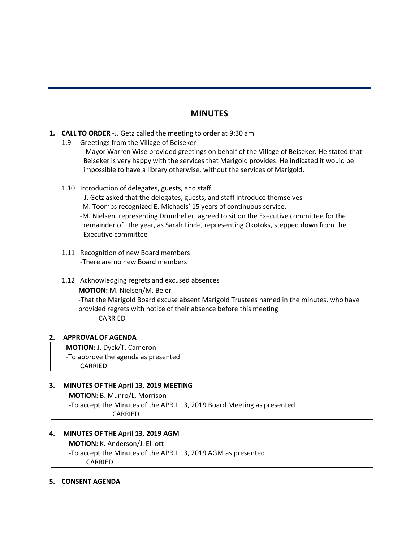## **MINUTES**

- **1. CALL TO ORDER** -J. Getz called the meeting to order at 9:30 am
	- 1.9 Greetings from the Village of Beiseker

-Mayor Warren Wise provided greetings on behalf of the Village of Beiseker. He stated that Beiseker is very happy with the services that Marigold provides. He indicated it would be impossible to have a library otherwise, without the services of Marigold.

- 1.10 Introduction of delegates, guests, and staff
	- J. Getz asked that the delegates, guests, and staff introduce themselves
	- -M. Toombs recognized E. Michaels' 15 years of continuous service.

-M. Nielsen, representing Drumheller, agreed to sit on the Executive committee for the remainder of the year, as Sarah Linde, representing Okotoks, stepped down from the Executive committee

- 1.11 Recognition of new Board members -There are no new Board members
- 1.12 Acknowledging regrets and excused absences

**MOTION:** M. Nielsen/M. Beier -That the Marigold Board excuse absent Marigold Trustees named in the minutes, who have provided regrets with notice of their absence before this meeting CARRIED

#### **2. APPROVAL OF AGENDA**

 **MOTION:** J. Dyck/T. Cameron -To approve the agenda as presented CARRIED

## **3. MINUTES OF THE April 13, 2019 MEETING**

**MOTION:** B. Munro/L. Morrison **-**To accept the Minutes of the APRIL 13, 2019 Board Meeting as presented CARRIED

#### **4. MINUTES OF THE April 13, 2019 AGM**

**MOTION:** K. Anderson/J. Elliott

**-**To accept the Minutes of the APRIL 13, 2019 AGM as presented CARRIED

#### **5. CONSENT AGENDA**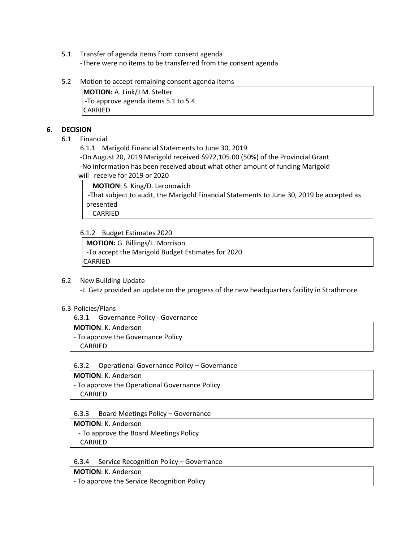- 5.1 Transfer of agenda items from consent agenda -There were no items to be transferred from the consent agenda
- 5.2 Motion to accept remaining consent agenda items

**MOTION:** A. Link/J.M. Stelter -To approve agenda items 5.1 to 5.4 CARRIED

## **6. DECISION**

6.1 Financial

6.1.1 Marigold Financial Statements to June 30, 2019

-On August 20, 2019 Marigold received \$972,105.00 (50%) of the Provincial Grant -No information has been received about what other amount of funding Marigold will receive for 2019 or 2020

**MOTION**: S. King/D. Leronowich -That subject to audit, the Marigold Financial Statements to June 30, 2019 be accepted as presented CARRIED

6.1.2 Budget Estimates 2020

**MOTION:** G. Billings/L. Morrison -To accept the Marigold Budget Estimates for 2020 CARRIED

#### 6.2 New Building Update

-J. Getz provided an update on the progress of the new headquarters facility in Strathmore.

#### 6.3 Policies/Plans

6.3.1 Governance Policy - Governance

#### **MOTION**: K. Anderson

- To approve the Governance Policy CARRIED

#### 6.3.2 Operational Governance Policy – Governance

#### **MOTION**: K. Anderson

- To approve the Operational Governance Policy CARRIED

#### 6.3.3 Board Meetings Policy – Governance

**MOTION**: K. Anderson - To approve the Board Meetings Policy CARRIED

#### 6.3.4 Service Recognition Policy – Governance

**MOTION**: K. Anderson

- To approve the Service Recognition Policy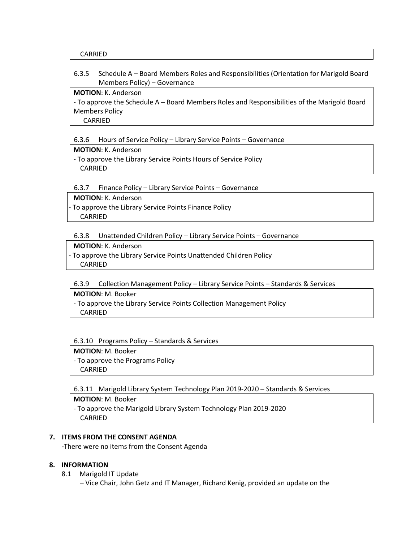#### 6.3.5 Schedule A – Board Members Roles and Responsibilities (Orientation for Marigold Board Members Policy) – Governance

#### **MOTION**: K. Anderson

- To approve the Schedule A – Board Members Roles and Responsibilities of the Marigold Board Members Policy CARRIED

#### 6.3.6 Hours of Service Policy – Library Service Points – Governance

#### **MOTION**: K. Anderson

- To approve the Library Service Points Hours of Service Policy CARRIED

#### 6.3.7 Finance Policy – Library Service Points – Governance

 **MOTION**: K. Anderson

- To approve the Library Service Points Finance Policy

CARRIED

#### 6.3.8 Unattended Children Policy – Library Service Points – Governance

#### **MOTION**: K. Anderson

- To approve the Library Service Points Unattended Children Policy CARRIED

#### 6.3.9 Collection Management Policy – Library Service Points – Standards & Services

#### **MOTION**: M. Booker

- To approve the Library Service Points Collection Management Policy CARRIED

#### 6.3.10 Programs Policy – Standards & Services

# **MOTION**: M. Booker

- To approve the Programs Policy CARRIED

#### 6.3.11 Marigold Library System Technology Plan 2019-2020 – Standards & Services

**MOTION**: M. Booker - To approve the Marigold Library System Technology Plan 2019-2020 CARRIED

#### **7. ITEMS FROM THE CONSENT AGENDA**

**-**There were no items from the Consent Agenda

#### **8. INFORMATION**

- 8.1 Marigold IT Update
	- Vice Chair, John Getz and IT Manager, Richard Kenig, provided an update on the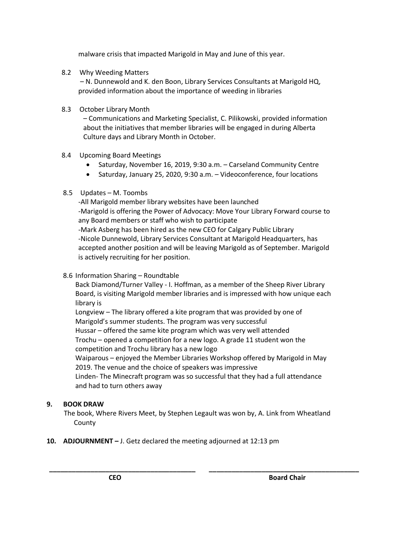malware crisis that impacted Marigold in May and June of this year.

8.2 Why Weeding Matters

 – N. Dunnewold and K. den Boon, Library Services Consultants at Marigold HQ, provided information about the importance of weeding in libraries

## 8.3 October Library Month

– Communications and Marketing Specialist, C. Pilikowski, provided information about the initiatives that member libraries will be engaged in during Alberta Culture days and Library Month in October.

## 8.4 Upcoming Board Meetings

- Saturday, November 16, 2019, 9:30 a.m. Carseland Community Centre
- Saturday, January 25, 2020, 9:30 a.m. Videoconference, four locations

## 8.5 Updates – M. Toombs

-All Marigold member library websites have been launched -Marigold is offering the Power of Advocacy: Move Your Library Forward course to any Board members or staff who wish to participate -Mark Asberg has been hired as the new CEO for Calgary Public Library -Nicole Dunnewold, Library Services Consultant at Marigold Headquarters, has accepted another position and will be leaving Marigold as of September. Marigold is actively recruiting for her position.

## 8.6 Information Sharing – Roundtable

Back Diamond/Turner Valley - I. Hoffman, as a member of the Sheep River Library Board, is visiting Marigold member libraries and is impressed with how unique each library is

Longview – The library offered a kite program that was provided by one of Marigold's summer students. The program was very successful Hussar – offered the same kite program which was very well attended Trochu – opened a competition for a new logo. A grade 11 student won the competition and Trochu library has a new logo Waiparous – enjoyed the Member Libraries Workshop offered by Marigold in May 2019. The venue and the choice of speakers was impressive Linden- The Minecraft program was so successful that they had a full attendance and had to turn others away

## **9. BOOK DRAW**

The book, Where Rivers Meet, by Stephen Legault was won by, A. Link from Wheatland County

**\_\_\_\_\_\_\_\_\_\_\_\_\_\_\_\_\_\_\_\_\_\_\_\_\_\_\_\_\_\_\_\_\_\_\_\_\_\_\_ \_\_\_\_\_\_\_\_\_\_\_\_\_\_\_\_\_\_\_\_\_\_\_\_\_\_\_\_\_\_\_\_\_\_\_\_\_\_\_\_**

**10. ADJOURNMENT –** J. Getz declared the meeting adjourned at 12:13 pm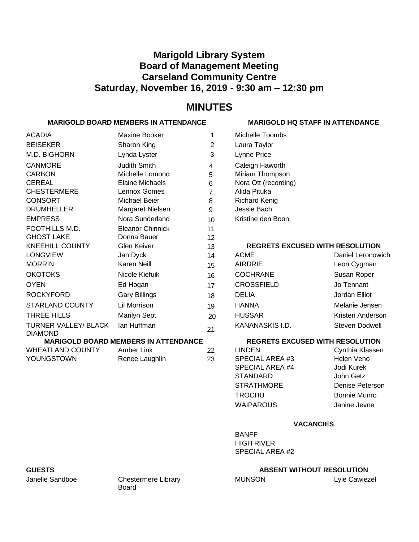# **Marigold Library System Board of Management Meeting Carseland Community Centre Saturday, November 16, 2019 - 9:30 am – 12:30 pm**

# **MINUTES**

## **MARIGOLD BOARD MEMBERS IN ATTENDANCE MARIGOLD HQ STAFF IN ATTENDANCE**

| <b>ACADIA</b>                          | <b>Maxine Booker</b>                        | 1              | Michelle Toombs                        |                     |
|----------------------------------------|---------------------------------------------|----------------|----------------------------------------|---------------------|
| <b>BEISEKER</b>                        | Sharon King                                 | 2              | Laura Taylor                           |                     |
| M.D. BIGHORN                           | Lynda Lyster                                | 3              | Lynne Price                            |                     |
| <b>CANMORE</b>                         | Judith Smith                                | 4              | Caleigh Haworth                        |                     |
| <b>CARBON</b>                          | Michelle Lomond                             | 5              | Miriam Thompson                        |                     |
| <b>CEREAL</b>                          | <b>Elaine Michaels</b>                      | 6              | Nora Ott (recording)                   |                     |
| <b>CHESTERMERE</b>                     | Lennox Gomes                                | $\overline{7}$ | Alida Pituka                           |                     |
| <b>CONSORT</b>                         | Michael Beier                               | 8              | <b>Richard Kenig</b>                   |                     |
| <b>DRUMHELLER</b>                      | Margaret Nielsen                            | 9              | Jessie Bach                            |                     |
| <b>EMPRESS</b>                         | Nora Sunderland                             | 10             | Kristine den Boon                      |                     |
| FOOTHILLS M.D.                         | <b>Eleanor Chinnick</b>                     | 11             |                                        |                     |
| <b>GHOST LAKE</b>                      | Donna Bauer                                 | 12             |                                        |                     |
| <b>KNEEHILL COUNTY</b>                 | <b>Glen Keiver</b>                          | 13             | <b>REGRETS EXCUSED WITH RESOLUTION</b> |                     |
| <b>LONGVIEW</b>                        | Jan Dyck                                    | 14             | <b>ACME</b>                            | Daniel Leronowich   |
| <b>MORRIN</b>                          | <b>Karen Neill</b>                          | 15             | <b>AIRDRIE</b>                         | Leon Cygman         |
| <b>OKOTOKS</b>                         | Nicole Kiefuik                              | 16             | <b>COCHRANE</b>                        | Susan Roper         |
| <b>OYEN</b>                            | Ed Hogan                                    | 17             | <b>CROSSFIELD</b>                      | Jo Tennant          |
| <b>ROCKYFORD</b>                       | <b>Gary Billings</b>                        | 18             | <b>DELIA</b>                           | Jordan Elliot       |
| <b>STARLAND COUNTY</b>                 | <b>Lil Morrison</b>                         | 19             | <b>HANNA</b>                           | Melanie Jensen      |
| THREE HILLS                            | <b>Marilyn Sept</b>                         | 20             | <b>HUSSAR</b>                          | Kristen Anderson    |
| TURNER VALLEY/ BLACK<br><b>DIAMOND</b> | Ian Huffman                                 | 21             | KANANASKIS I.D.                        | Steven Dodwell      |
|                                        | <b>MARIGOLD BOARD MEMBERS IN ATTENDANCE</b> |                | <b>REGRETS EXCUSED WITH RESOLUTION</b> |                     |
| <b>WHEATLAND COUNTY</b>                | Amber Link                                  | 22             | <b>LINDEN</b>                          | Cynthia Klassen     |
| YOUNGSTOWN                             | Renee Laughlin                              | 23             | SPECIAL AREA #3                        | Helen Veno          |
|                                        |                                             |                | <b>SPECIAL AREA #4</b>                 | Jodi Kurek          |
|                                        |                                             |                | <b>STANDARD</b>                        | John Getz           |
|                                        |                                             |                | <b>STRATHMORE</b>                      | Denise Peterson     |
|                                        |                                             |                | <b>TROCHU</b>                          | <b>Bonnie Munro</b> |
|                                        |                                             |                | <b>WAIPAROUS</b>                       | Janine Jevne        |
|                                        |                                             |                | <b>VACANCIES</b>                       |                     |
|                                        |                                             |                | <b>BANFF</b>                           |                     |

BANFF HIGH RIVER SPECIAL AREA #2

## **GUESTS ABSENT WITHOUT RESOLUTION**

MUNSON Lyle Cawiezel

Janelle Sandboe Chestermere Library Board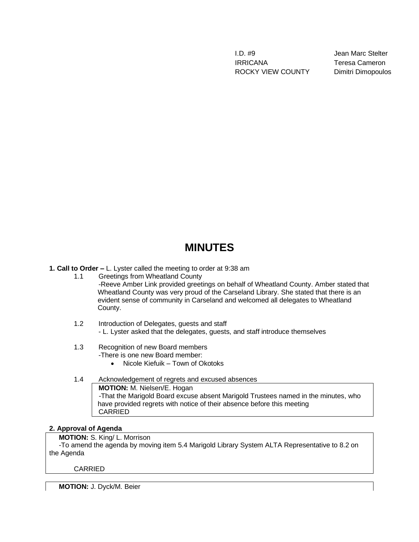I.D. #9 Jean Marc Stelter IRRICANA Teresa Cameron ROCKY VIEW COUNTY Dimitri Dimopoulos

# **MINUTES**

**1. Call to Order –** L. Lyster called the meeting to order at 9:38 am

- 1.1 Greetings from Wheatland County -Reeve Amber Link provided greetings on behalf of Wheatland County. Amber stated that Wheatland County was very proud of the Carseland Library. She stated that there is an evident sense of community in Carseland and welcomed all delegates to Wheatland County.
- 1.2 Introduction of Delegates, guests and staff - L. Lyster asked that the delegates, guests, and staff introduce themselves
- 1.3 Recognition of new Board members

-There is one new Board member:

- Nicole Kiefuik Town of Okotoks
- 1.4 Acknowledgement of regrets and excused absences **MOTION:** M. Nielsen/E. Hogan -That the Marigold Board excuse absent Marigold Trustees named in the minutes, who have provided regrets with notice of their absence before this meeting CARRIED

#### **2. Approval of Agenda**

 **MOTION:** S. King/ L. Morrison

-To amend the agenda by moving item 5.4 Marigold Library System ALTA Representative to 8.2 on the Agenda

CARRIED

**MOTION:** J. Dyck/M. Beier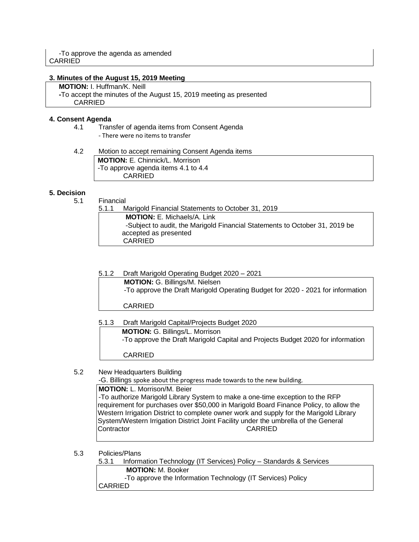#### **3. Minutes of the August 15, 2019 Meeting**

 **MOTION:** I. Huffman/K. Neill  **-**To accept the minutes of the August 15, 2019 meeting as presented CARRIED

#### **4. Consent Agenda**

- 4.1 Transfer of agenda items from Consent Agenda - There were no items to transfer
- 4.2 Motion to accept remaining Consent Agenda items **MOTION:** E. Chinnick/L. Morrison -To approve agenda items 4.1 to 4.4 CARRIED

### **5. Decision**

5.1 Financial

| Financial |                                                                             |
|-----------|-----------------------------------------------------------------------------|
| 5.1.1     | Marigold Financial Statements to October 31, 2019                           |
|           | <b>MOTION: E. Michaels/A. Link</b>                                          |
|           | -Subject to audit, the Marigold Financial Statements to October 31, 2019 be |
|           | accepted as presented                                                       |
|           | <b>CARRIED</b>                                                              |
|           |                                                                             |

5.1.2 Draft Marigold Operating Budget 2020 – 2021

| <b>MOTION: G. Billings/M. Nielsen</b>                                           |  |
|---------------------------------------------------------------------------------|--|
| -To approve the Draft Marigold Operating Budget for 2020 - 2021 for information |  |
|                                                                                 |  |

CARRIED

5.1.3 Draft Marigold Capital/Projects Budget 2020

**MOTION:** G. Billings/L. Morrison -To approve the Draft Marigold Capital and Projects Budget 2020 for information CARRIED

#### 5.2 New Headquarters Building

-G. Billings spoke about the progress made towards to the new building.

#### **MOTION:** L. Morrison/M. Beier

-To authorize Marigold Library System to make a one-time exception to the RFP requirement for purchases over \$50,000 in Marigold Board Finance Policy, to allow the Western Irrigation District to complete owner work and supply for the Marigold Library System/Western Irrigation District Joint Facility under the umbrella of the General Contractor

5.3 Policies/Plans

| 5.3.1          | Information Technology (IT Services) Policy - Standards & Services |
|----------------|--------------------------------------------------------------------|
|                | <b>MOTION:</b> M. Booker                                           |
|                | -To approve the Information Technology (IT Services) Policy        |
| <b>CARRIED</b> |                                                                    |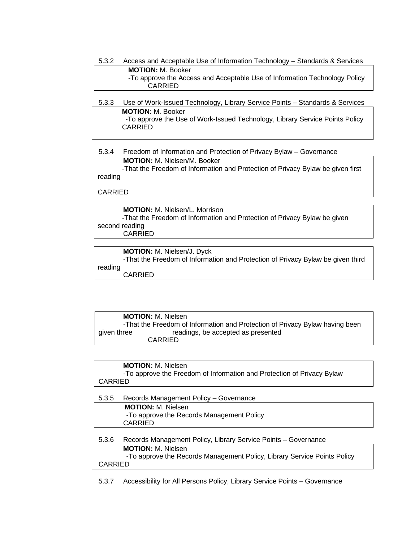5.3.2 Access and Acceptable Use of Information Technology – Standards & Services **MOTION:** M. Booker -To approve the Access and Acceptable Use of Information Technology Policy CARRIED

| 5.3.3 | Use of Work-Issued Technology, Library Service Points - Standards & Services |
|-------|------------------------------------------------------------------------------|
|       | <b>MOTION:</b> M. Booker                                                     |
|       | -To approve the Use of Work-Issued Technology, Library Service Points Policy |
|       | CARRIED                                                                      |

## 5.3.4 Freedom of Information and Protection of Privacy Bylaw – Governance

**MOTION:** M. Nielsen/M. Booker -That the Freedom of Information and Protection of Privacy Bylaw be given first reading

CARRIED

**MOTION:** M. Nielsen/L. Morrison -That the Freedom of Information and Protection of Privacy Bylaw be given second reading CARRIED

**MOTION:** M. Nielsen/J. Dyck -That the Freedom of Information and Protection of Privacy Bylaw be given third reading CARRIED

**MOTION:** M. Nielsen -That the Freedom of Information and Protection of Privacy Bylaw having been given three readings, be accepted as presented CARRIED

**MOTION:** M. Nielsen -To approve the Freedom of Information and Protection of Privacy Bylaw CARRIED

5.3.5 Records Management Policy – Governance **MOTION:** M. Nielsen -To approve the Records Management Policy CARRIED 5.3.6 Records Management Policy, Library Service Points – Governance **MOTION:** M. Nielsen

-To approve the Records Management Policy, Library Service Points Policy CARRIED

5.3.7 Accessibility for All Persons Policy, Library Service Points – Governance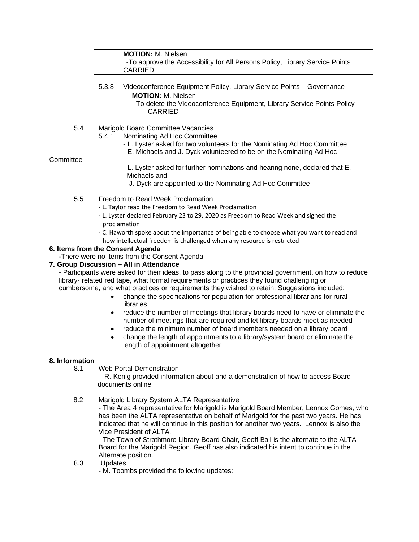| <b>MOTION:</b> M. Nielsen                                                    |  |
|------------------------------------------------------------------------------|--|
| -To approve the Accessibility for All Persons Policy, Library Service Points |  |
| CARRIED                                                                      |  |

- 5.3.8 Videoconference Equipment Policy, Library Service Points Governance **MOTION:** M. Nielsen
	- To delete the Videoconference Equipment, Library Service Points Policy CARRIED
- 5.4 Marigold Board Committee Vacancies
	- 5.4.1 Nominating Ad Hoc Committee
		- L. Lyster asked for two volunteers for the Nominating Ad Hoc Committee
		- E. Michaels and J. Dyck volunteered to be on the Nominating Ad Hoc

**Committee** 

- L. Lyster asked for further nominations and hearing none, declared that E. Michaels and
	- J. Dyck are appointed to the Nominating Ad Hoc Committee
- 5.5 Freedom to Read Week Proclamation
	- L. Taylor read the Freedom to Read Week Proclamation
	- L. Lyster declared February 23 to 29, 2020 as Freedom to Read Week and signed the proclamation
	- C. Haworth spoke about the importance of being able to choose what you want to read and how intellectual freedom is challenged when any resource is restricted

#### **6. Items from the Consent Agenda**

 **-**There were no items from the Consent Agenda

## **7. Group Discussion – All in Attendance**

- Participants were asked for their ideas, to pass along to the provincial government, on how to reduce library- related red tape, what formal requirements or practices they found challenging or

- cumbersome, and what practices or requirements they wished to retain. Suggestions included:
	- change the specifications for population for professional librarians for rural libraries
	- reduce the number of meetings that library boards need to have or eliminate the number of meetings that are required and let library boards meet as needed
	- reduce the minimum number of board members needed on a library board
	- change the length of appointments to a library/system board or eliminate the length of appointment altogether

#### **8. Information**

8.1 Web Portal Demonstration

– R. Kenig provided information about and a demonstration of how to access Board documents online

#### 8.2 Marigold Library System ALTA Representative

- The Area 4 representative for Marigold is Marigold Board Member, Lennox Gomes, who has been the ALTA representative on behalf of Marigold for the past two years. He has indicated that he will continue in this position for another two years. Lennox is also the Vice President of ALTA.

- The Town of Strathmore Library Board Chair, Geoff Ball is the alternate to the ALTA Board for the Marigold Region. Geoff has also indicated his intent to continue in the Alternate position.

- 8.3 Updates
	- M. Toombs provided the following updates: